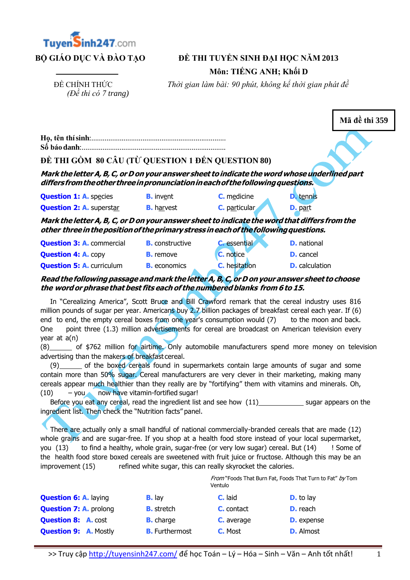

# **BỘ GIÁO DỤC VÀ ĐÀO TẠO ĐỀ THI TUYỂN SINH ĐẠI HỌC NĂM 2013**

### **Môn: TIẾNG ANH; Khối D**

*(Đề thi có 7 trang)*

ĐỀ CHÍNH THỨC *Thời gian làm bài: 90 phút, không kể thời gian phát đề*

|                                                                                                                                                                                        |                        |                     | Mã đề thi 359      |  |
|----------------------------------------------------------------------------------------------------------------------------------------------------------------------------------------|------------------------|---------------------|--------------------|--|
| Số báo danh:.<br>ĐỀ THI GỒM 80 CÂU (TỪ QUESTION 1 ĐẾN QUESTION 80)                                                                                                                     |                        |                     |                    |  |
| Mark the letter A, B, C, or D on your answer sheet to indicate the word whose underlined part<br>differs from the other three in pronunciation in each of the following questions.     |                        |                     |                    |  |
| <b>Question 1: A. species</b>                                                                                                                                                          | <b>B.</b> invent       | <b>C.</b> medicine  | <b>D.</b> tennis   |  |
| <b>Question 2: A. superstar</b>                                                                                                                                                        | <b>B.</b> harvest      | C. particular       | D. part            |  |
| Mark the letter A, B, C, or D on your answer sheet to indicate the word that differs from the<br>other three in the position of the primary stress in each of the following questions. |                        |                     |                    |  |
| <b>Question 3: A. commercial</b>                                                                                                                                                       | <b>B.</b> constructive | <b>C.</b> essential | <b>D.</b> national |  |
| <b>Question 4: A. CODY</b>                                                                                                                                                             | <b>B.</b> remove       | C. notice           | <b>D.</b> cancel   |  |

## **Question 5: A.** curriculum **B.** economics **C.** hesitation **D.** calculation **Readthe following passage andmark the letterA,B,C, orD onyour answer sheet to choose the word or phrase that best fits each of the numberedblanks from 6to 15.**

In "Cerealizing America", Scott Bruce and Bill Crawford remark that the cereal industry uses 816 million pounds of sugar per year. Americans buy 2.7 billion packages of breakfast cereal each year. If (6) end to end, the empty cereal boxes from one year's consumption would (7) to the moon and back. One point three (1.3) million advertisements for cereal are broadcast on American television every year at a(n)

(8) of \$762 million for airtime. Only automobile manufacturers spend more money on television advertising than the makers of breakfast cereal.

(9) of the boxed cereals found in supermarkets contain large amounts of sugar and some contain more than 50% sugar. Cereal manufacturers are very clever in their marketing, making many cereals appear much healthier than they really are by "fortifying" them with vitamins and minerals. Oh,  $(10)$  – you now have vitamin-fortified sugar!

Before you eat any cereal, read the ingredient list and see how  $(11)$  sugar appears on the ingredient list. Then check the "Nutrition facts" panel.

There are actually only a small handful of national commercially-branded cereals that are made (12) whole grains and are sugar-free. If you shop at a health food store instead of your local supermarket, you (13) to find a healthy, whole grain, sugar-free (or very low sugar) cereal. But (14) ! Some of the health food store boxed cereals are sweetened with fruit juice or fructose. Although this may be an improvement (15) refined white sugar, this can really skyrocket the calories.

| <i>From</i> "Foods That Burn Fat, Foods That Turn to Fat" by Tom |
|------------------------------------------------------------------|
| Ventulo                                                          |
|                                                                  |

| <b>Question 6: A. laying</b>  | <b>B.</b> lay         | C. laid           | $D.$ to lay       |
|-------------------------------|-----------------------|-------------------|-------------------|
| <b>Question 7: A. prolong</b> | <b>B.</b> stretch     | <b>C.</b> contact | <b>D.</b> reach   |
| <b>Question 8: A. cost</b>    | <b>B.</b> charge      | <b>C.</b> average | <b>D.</b> expense |
| <b>Question 9: A. Mostly</b>  | <b>B.</b> Furthermost | <b>C.</b> Most    | <b>D.</b> Almost  |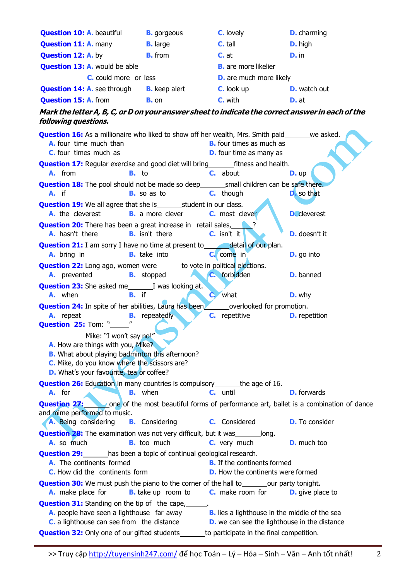| <b>Question 11: A. many</b><br>C. tall<br><b>D.</b> high<br><b>B.</b> large<br><b>Question 12: A. by</b><br><b>B.</b> from<br>D. in<br>C. at<br><b>Question 13: A. would be able</b><br><b>B.</b> are more likelier<br><b>C.</b> could more or less<br><b>D.</b> are much more likely<br><b>C.</b> look up<br><b>Question 14: A.</b> see through <b>B.</b> keep alert<br><b>D.</b> watch out<br><b>Question 15: A. from</b><br><b>C.</b> with<br><b>B.</b> on<br>D. at<br>Mark the letter A, B, C, or D on your answer sheet to indicate the correct answer in each of the<br>following questions.<br><b>Question 16:</b> As a millionaire who liked to show off her wealth, Mrs. Smith paid______we asked.<br>A. four time much than<br><b>B.</b> four times as much as |  |
|--------------------------------------------------------------------------------------------------------------------------------------------------------------------------------------------------------------------------------------------------------------------------------------------------------------------------------------------------------------------------------------------------------------------------------------------------------------------------------------------------------------------------------------------------------------------------------------------------------------------------------------------------------------------------------------------------------------------------------------------------------------------------|--|
|                                                                                                                                                                                                                                                                                                                                                                                                                                                                                                                                                                                                                                                                                                                                                                          |  |
|                                                                                                                                                                                                                                                                                                                                                                                                                                                                                                                                                                                                                                                                                                                                                                          |  |
|                                                                                                                                                                                                                                                                                                                                                                                                                                                                                                                                                                                                                                                                                                                                                                          |  |
|                                                                                                                                                                                                                                                                                                                                                                                                                                                                                                                                                                                                                                                                                                                                                                          |  |
|                                                                                                                                                                                                                                                                                                                                                                                                                                                                                                                                                                                                                                                                                                                                                                          |  |
|                                                                                                                                                                                                                                                                                                                                                                                                                                                                                                                                                                                                                                                                                                                                                                          |  |
|                                                                                                                                                                                                                                                                                                                                                                                                                                                                                                                                                                                                                                                                                                                                                                          |  |
| C. four times much as<br><b>D.</b> four time as many as                                                                                                                                                                                                                                                                                                                                                                                                                                                                                                                                                                                                                                                                                                                  |  |
| A. from<br>$B.$ to<br><b>C.</b> about<br>$D.$ up                                                                                                                                                                                                                                                                                                                                                                                                                                                                                                                                                                                                                                                                                                                         |  |
| <b>Question 18:</b> The pool should not be made so deep_________small children can be safe there.<br>A. if<br><b>C.</b> though<br><b>D.</b> so that<br><b>B.</b> so as to                                                                                                                                                                                                                                                                                                                                                                                                                                                                                                                                                                                                |  |
| <b>Question 19:</b> We all agree that she is student in our class.<br>A. the cleverest<br><b>B.</b> a more clever<br>C. most clever<br><b>D.</b> cleverest                                                                                                                                                                                                                                                                                                                                                                                                                                                                                                                                                                                                               |  |
| <b>Question 20:</b> There has been a great increase in retail sales,<br><b>D.</b> doesn't it<br>A. hasn't there<br><b>B.</b> isn't there<br>C. isn't it                                                                                                                                                                                                                                                                                                                                                                                                                                                                                                                                                                                                                  |  |
| <b>Question 21:</b> I am sorry I have no time at present to detail of our plan.<br>A. bring in<br><b>B.</b> take into<br><b>C.</b> come in<br><b>D.</b> go into                                                                                                                                                                                                                                                                                                                                                                                                                                                                                                                                                                                                          |  |
| <b>Question 22:</b> Long ago, women were _______ to vote in political elections.<br>C. forbidden<br><b>A.</b> prevented<br><b>B.</b> stopped<br><b>D.</b> banned                                                                                                                                                                                                                                                                                                                                                                                                                                                                                                                                                                                                         |  |
| <b>Question 23:</b> She asked me<br><u>I</u> was looking at.<br><b>B.</b> if<br>A. when<br>what<br><b>D.</b> why<br>$\mathbf{C}$                                                                                                                                                                                                                                                                                                                                                                                                                                                                                                                                                                                                                                         |  |
| <b>Question 24:</b> In spite of her abilities, Laura has been<br>overlooked for promotion.<br>A. repeat<br><b>B.</b> repeatedly<br><b>C.</b> repetitive<br><b>D.</b> repetition<br><b>Question 25: Tom: "</b>                                                                                                                                                                                                                                                                                                                                                                                                                                                                                                                                                            |  |
| Mike: "I won't say no!"<br>A. How are things with you, Mike?<br><b>B.</b> What about playing badminton this afternoon?<br>C. Mike, do you know where the scissors are?<br>D. What's your favourite, tea or coffee?                                                                                                                                                                                                                                                                                                                                                                                                                                                                                                                                                       |  |
| <b>Question 26:</b> Education in many countries is compulsory _______ the age of 16.                                                                                                                                                                                                                                                                                                                                                                                                                                                                                                                                                                                                                                                                                     |  |
| <b>B.</b> when<br>A. for<br>C. until<br><b>D.</b> forwards                                                                                                                                                                                                                                                                                                                                                                                                                                                                                                                                                                                                                                                                                                               |  |
| <b>Question 27:</b> One of the most beautiful forms of performance art, ballet is a combination of dance<br>and mime performed to music.<br>A. Being considering<br><b>D.</b> To consider<br><b>B.</b> Considering<br><b>C.</b> Considered                                                                                                                                                                                                                                                                                                                                                                                                                                                                                                                               |  |
| <b>Question 28:</b> The examination was not very difficult, but it was _______ long.<br><b>B.</b> too much<br>A. so much<br><b>D.</b> much too<br><b>C.</b> very much                                                                                                                                                                                                                                                                                                                                                                                                                                                                                                                                                                                                    |  |
| <b>Question 29:</b> has been a topic of continual geological research.<br>A. The continents formed<br><b>B.</b> If the continents formed<br><b>C.</b> How did the continents form<br><b>D.</b> How the continents were formed                                                                                                                                                                                                                                                                                                                                                                                                                                                                                                                                            |  |
| <b>Question 30:</b> We must push the piano to the corner of the hall to_______our party tonight.<br>A. make place for<br><b>B.</b> take up room to<br><b>C.</b> make room for<br><b>D.</b> give place to                                                                                                                                                                                                                                                                                                                                                                                                                                                                                                                                                                 |  |
| <b>Question 31:</b> Standing on the tip of the cape,<br>A. people have seen a lighthouse far away B. lies a lighthouse in the middle of the sea<br><b>C.</b> a lighthouse can see from the distance<br><b>D.</b> we can see the lighthouse in the distance<br><b>Question 32:</b> Only one of our gifted students________to participate in the final competition.                                                                                                                                                                                                                                                                                                                                                                                                        |  |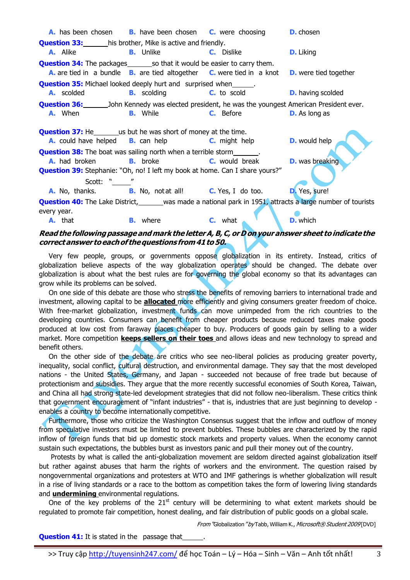**A.** has been chosen **B.** have been chosen **C.** were choosing **D.** chosen **Question 33:** his brother, Mike is active and friendly. **A.** Alike **B.** Unlike **C.** Dislike **D.** Liking **Question 34:** The packages \_\_\_\_\_\_\_ so that it would be easier to carry them. **A.** are tied in a bundle **B.** are tied altogether **C.** were tied in a knot **D.** were tied together **Question 35:** Michael looked deeply hurt and surprised when **A.** scolded **B.** scolding **C.** to scold **D.** having scolded **Question 36:** John Kennedy was elected president, he was the youngest American President ever. **A.** When **B.** While **C.** Before **D.** As long as **Question 37:** He\_\_\_\_\_\_\_us but he was short of money at the time. **A.** could have helped **B.** can help **C.** might help **D.** would help **Question 38:** The boat was sailing north when a terrible storm **A.** had broken **B.** broke **C.** would break **D.** was breaking **Question 39:** Stephanie: "Oh, no! I left my book at home. Can I share yours?" Scott: " **A.** No, thanks. **B.** No, not at all! **C.** Yes, I do too. **D.** Yes, sure! **Question 40:** The Lake District, was made a national park in 1951, attracts a large number of tourists every year. **A.** that **B.** where **C.** what **D.** which

### **Readthe following passage andmark the letterA,B,C, orD onyour answer sheet to indicate the correctanswer toeachof thequestions from41to50.**

Very few people, groups, or governments oppose globalization in its entirety. Instead, critics of globalization believe aspects of the way globalization operates should be changed. The debate over globalization is about what the best rules are for governing the global economy so that its advantages can grow while its problems can be solved.

On one side of this debate are those who stress the benefits of removing barriers to international trade and investment, allowing capital to be **allocated** more efficiently and giving consumers greater freedom of choice. With free-market globalization, investment funds can move unimpeded from the rich countries to the developing countries. Consumers can benefit from cheaper products because reduced taxes make goods produced at low cost from faraway places cheaper to buy. Producers of goods gain by selling to a wider market. More competition **keeps sellers on their toes** and allows ideas and new technology to spread and benefit others.

On the other side of the debate are critics who see neo-liberal policies as producing greater poverty, inequality, social conflict, cultural destruction, and environmental damage. They say that the most developed nations - the United States, Germany, and Japan - succeeded not because of free trade but because of protectionism and subsidies. They argue that the more recently successful economies of South Korea, Taiwan, and China all had strong state-led development strategies that did not follow neo-liberalism. These critics think that government encouragement of "infant industries" - that is, industries that are just beginning to develop enables a country to become internationally competitive.

Furthermore, those who criticize the Washington Consensus suggest that the inflow and outflow of money from speculative investors must be limited to prevent bubbles. These bubbles are characterized by the rapid inflow of foreign funds that bid up domestic stock markets and property values. When the economy cannot sustain such expectations, the bubbles burst as investors panic and pull their money out of the country.

Protests by what is called the anti-globalization movement are seldom directed against globalization itself but rather against abuses that harm the rights of workers and the environment. The question raised by nongovernmental organizations and protesters at WTO and IMF gatherings is whether globalization will result in a rise of living standards or a race to the bottom as competition takes the form of lowering living standards and **undermining** environmental regulations.

One of the key problems of the  $21<sup>st</sup>$  century will be determining to what extent markets should be regulated to promote fair competition, honest dealing, and fair distribution of public goods on a global scale.

From 'Globalization "by Tabb, William K., Microsoft® Student 2009[DVD]

**Question 41:** It is stated in the passage that

>> Truy cập http://tuyensinh247.com/ để học Toán – Lý – Hóa – Sinh – Văn – Anh tốt nhất! 3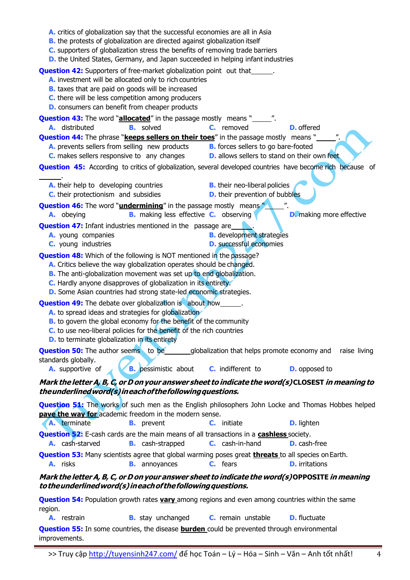| A. critics of globalization say that the successful economies are all in Asia<br><b>B.</b> the protests of globalization are directed against globalization itself<br>C. supporters of globalization stress the benefits of removing trade barriers<br>D. the United States, Germany, and Japan succeeded in helping infant industries                                   |                                                                                                   |                                 |  |
|--------------------------------------------------------------------------------------------------------------------------------------------------------------------------------------------------------------------------------------------------------------------------------------------------------------------------------------------------------------------------|---------------------------------------------------------------------------------------------------|---------------------------------|--|
| <b>Question 42:</b> Supporters of free-market globalization point out that______.<br>A. investment will be allocated only to rich countries<br><b>B.</b> taxes that are paid on goods will be increased<br>C. there will be less competition among producers<br><b>D.</b> consumers can benefit from cheaper products                                                    |                                                                                                   |                                 |  |
| <b>Question 43:</b> The word "allocated" in the passage mostly means "                                                                                                                                                                                                                                                                                                   |                                                                                                   |                                 |  |
| A. distributed<br>solved<br>В.<br><b>Question 44:</b> The phrase " <b>keeps sellers on their toes</b> " in the passage mostly means "                                                                                                                                                                                                                                    | <b>C.</b> removed                                                                                 | <b>D.</b> offered               |  |
| A. prevents sellers from selling new products<br><b>C.</b> makes sellers responsive to any changes                                                                                                                                                                                                                                                                       | <b>B.</b> forces sellers to go bare-footed<br><b>D.</b> allows sellers to stand on their own feet |                                 |  |
| <b>Question 45:</b> According to critics of globalization, several developed countries have become rich because of                                                                                                                                                                                                                                                       |                                                                                                   |                                 |  |
| A. their help to developing countries<br>C. their protectionism and subsidies                                                                                                                                                                                                                                                                                            | <b>B.</b> their neo-liberal policies<br><b>D.</b> their prevention of bubbles                     |                                 |  |
| <b>Question 46:</b> The word " <b>undermining</b> " in the passage mostly means "<br><b>B.</b> making less effective <b>C.</b> observing<br>A. obeying                                                                                                                                                                                                                   |                                                                                                   | <b>D.</b> making more effective |  |
| <b>Question 47:</b> Infant industries mentioned in the passage are<br>A. young companies<br><b>C.</b> young industries                                                                                                                                                                                                                                                   | <b>B.</b> development strategies<br><b>D.</b> successful economies                                |                                 |  |
| <b>Question 48:</b> Which of the following is NOT mentioned in the passage?<br>A. Critics believe the way globalization operates should be changed.<br>B. The anti-globalization movement was set up to end globalization.<br>C. Hardly anyone disapproves of globalization in its entirety.<br><b>D.</b> Some Asian countries had strong state-led economic strategies. |                                                                                                   |                                 |  |
| <b>Question 49:</b> The debate over globalization is about how ______.<br>A. to spread ideas and strategies for globalization<br><b>B.</b> to govern the global economy for the benefit of the community<br>C. to use neo-liberal policies for the benefit of the rich countries<br><b>D.</b> to terminate globalization in its entirety                                 |                                                                                                   |                                 |  |
| <b>Question 50:</b> The author seems to be<br>standards globally.                                                                                                                                                                                                                                                                                                        | globalization that helps promote economy and                                                      | raise living                    |  |
| <b>B.</b> pessimistic about <b>C.</b> indifferent to<br>A. supportive of                                                                                                                                                                                                                                                                                                 |                                                                                                   | <b>D.</b> opposed to            |  |
| Mark the letter A, B, C, or D on your answer sheet to indicate the word(s)CLOSEST in meaning to<br>the underlined word(s) in each of the following questions.                                                                                                                                                                                                            |                                                                                                   |                                 |  |
| <b>Question 51:</b> The works of such men as the English philosophers John Locke and Thomas Hobbes helped                                                                                                                                                                                                                                                                |                                                                                                   |                                 |  |
| pave the way for academic freedom in the modern sense.<br>A. terminate<br><b>B.</b> prevent                                                                                                                                                                                                                                                                              | <b>C.</b> initiate                                                                                | <b>D.</b> lighten               |  |
| <b>Question 52:</b> E-cash cards are the main means of all transactions in a <b>cashless</b> society.                                                                                                                                                                                                                                                                    |                                                                                                   |                                 |  |
| A. cash-starved<br><b>B.</b> cash-strapped                                                                                                                                                                                                                                                                                                                               | C. cash-in-hand                                                                                   | <b>D.</b> cash-free             |  |
| Question 53: Many scientists agree that global warming poses great threats to all species on Earth.<br>A. risks<br><b>B.</b> annoyances                                                                                                                                                                                                                                  | C. fears                                                                                          | <b>D.</b> irritations           |  |
| Mark the letter A, B, C, or D on your answer sheet to indicate the word(s)OPPOSITE in meaning<br>to the underlined word(s) in each of the following questions.                                                                                                                                                                                                           |                                                                                                   |                                 |  |
| <b>Question 54:</b> Population growth rates <b>yary</b> among regions and even among countries within the same<br>region.                                                                                                                                                                                                                                                |                                                                                                   |                                 |  |
| <b>B.</b> stay unchanged<br><b>A.</b> restrain                                                                                                                                                                                                                                                                                                                           | C. remain unstable                                                                                | <b>D.</b> fluctuate             |  |
| <b>Question 55:</b> In some countries, the disease <b>burden</b> could be prevented through environmental                                                                                                                                                                                                                                                                |                                                                                                   |                                 |  |

improvements.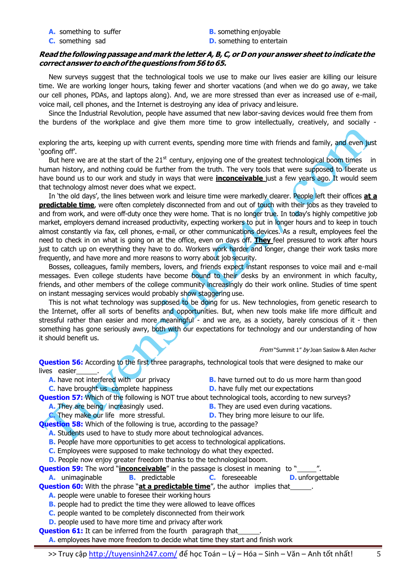- **A.** something to suffer **B.** something enjoyable
- 
- 
- **C.** something sad **D.** something to entertain

#### **Readthe following passage andmark the letterA,B,C, orD onyour answer sheet to indicate the correctanswer toeachof thequestions from56to65.**

New surveys suggest that the technological tools we use to make our lives easier are killing our leisure time. We are working longer hours, taking fewer and shorter vacations (and when we do go away, we take our cell phones, PDAs, and laptops along). And, we are more stressed than ever as increased use of e-mail, voice mail, cell phones, and the Internet is destroying any idea of privacy and leisure.

Since the Industrial Revolution, people have assumed that new labor-saving devices would free them from the burdens of the workplace and give them more time to grow intellectually, creatively, and socially -

exploring the arts, keeping up with current events, spending more time with friends and family, and even just "goofing off".

But here we are at the start of the  $21<sup>st</sup>$  century, enjoying one of the greatest technological boom times in human history, and nothing could be further from the truth. The very tools that were supposed to liberate us have bound us to our work and study in ways that were **inconceivable** just a few years ago. It would seem that technology almost never does what we expect.

In "the old days", the lines between work and leisure time were markedly clearer. People left their offices **at a predictable time**, were often completely disconnected from and out of touch with their jobs as they traveled to and from work, and were off-duty once they were home. That is no longer true. In today's highly competitive job market, employers demand increased productivity, expecting workers to put in longer hours and to keep in touch almost constantly via fax, cell phones, e-mail, or other communications devices. As a result, employees feel the need to check in on what is going on at the office, even on days off. **They** feel pressured to work after hours just to catch up on everything they have to do. Workers work harder and longer, change their work tasks more frequently, and have more and more reasons to worry about job security.

Bosses, colleagues, family members, lovers, and friends expect instant responses to voice mail and e-mail messages. Even college students have become bound to their desks by an environment in which faculty, friends, and other members of the college community increasingly do their work online. Studies of time spent on instant messaging services would probably show staggering use.

This is not what technology was supposed to be doing for us. New technologies, from genetic research to the Internet, offer all sorts of benefits and opportunities. But, when new tools make life more difficult and stressful rather than easier and more meaningful - and we are, as a society, barely conscious of it - then something has gone seriously awry, both with our expectations for technology and our understanding of how it should benefit us.

From "Summit 1" by Joan Saslow & Allen Ascher

**Question 56:** According to the first three paragraphs, technological tools that were designed to make our lives easier

**A.** have not interfered with our privacy **B.** have turned out to do us more harm than good

**C.** have brought us complete happiness **D.** have fully met our expectations

- 
- **Question 57:** Which of the following is NOT true about technological tools, according to new surveys?
	- **A.** They are being increasingly used. **B.** They are used even during vacations.
	- **C.** They make our life more stressful. **D.** They bring more leisure to our life.
		-

**Question 58:** Which of the following is true, according to the passage?

- **A.** Students used to have to study more about technological advances.
- **B.** People have more opportunities to get access to technological applications.
- **C.** Employees were supposed to make technology do what they expected.
- **D.** People now enjoy greater freedom thanks to the technological boom.
- **Question 59:** The word "**inconceivable**" in the passage is closest in meaning to " ".

**A.** unimaginable **B.** predictable **C.** foreseeable **D.** unforgettable

- **Question 60:** With the phrase "at a predictable time", the author implies that
	- **A.** people were unable to foresee their working hours
	- **B.** people had to predict the time they were allowed to leave offices
	- **C.** people wanted to be completely disconnected from their work
	- **D.** people used to have more time and privacy after work

**Question 61:** It can be inferred from the fourth paragraph that

**A.** employees have more freedom to decide what time they start and finish work

>> Truy cập http://tuyensinh247.com/ để học Toán – Lý – Hóa – Sinh – Văn – Anh tốt nhất! 5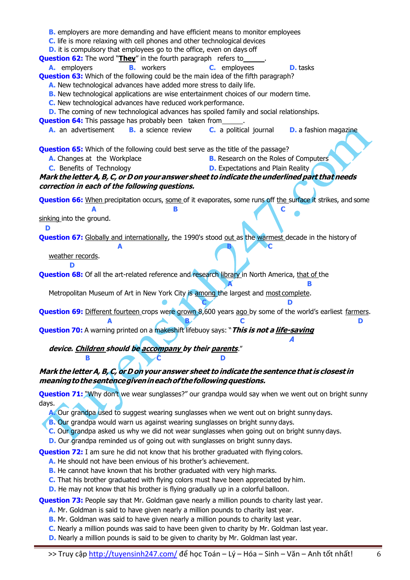| <b>B.</b> employers are more demanding and have efficient means to monitor employees<br>C. life is more relaxing with cell phones and other technological devices<br><b>D.</b> it is compulsory that employees go to the office, even on days off<br><b>Question 62:</b> The word "They" in the fourth paragraph refers to_____. |                                                               |  |  |
|----------------------------------------------------------------------------------------------------------------------------------------------------------------------------------------------------------------------------------------------------------------------------------------------------------------------------------|---------------------------------------------------------------|--|--|
| <b>B.</b> workers<br>A. employers                                                                                                                                                                                                                                                                                                | <b>D.</b> tasks<br><b>C.</b> employees                        |  |  |
|                                                                                                                                                                                                                                                                                                                                  |                                                               |  |  |
| Question 63: Which of the following could be the main idea of the fifth paragraph?                                                                                                                                                                                                                                               |                                                               |  |  |
| A. New technological advances have added more stress to daily life.                                                                                                                                                                                                                                                              |                                                               |  |  |
| <b>B.</b> New technological applications are wise entertainment choices of our modern time.                                                                                                                                                                                                                                      |                                                               |  |  |
| C. New technological advances have reduced work performance.                                                                                                                                                                                                                                                                     |                                                               |  |  |
| <b>D.</b> The coming of new technological advances has spoiled family and social relationships.                                                                                                                                                                                                                                  |                                                               |  |  |
| <b>Question 64:</b> This passage has probably been taken from______.                                                                                                                                                                                                                                                             |                                                               |  |  |
| A. an advertisement B. a science review                                                                                                                                                                                                                                                                                          | <b>C.</b> a political journal<br><b>D.</b> a fashion magazine |  |  |
| <b>Question 65:</b> Which of the following could best serve as the title of the passage?                                                                                                                                                                                                                                         |                                                               |  |  |
| A. Changes at the Workplace                                                                                                                                                                                                                                                                                                      | <b>B.</b> Research on the Roles of Computers                  |  |  |
| <b>C.</b> Benefits of Technology                                                                                                                                                                                                                                                                                                 | <b>D.</b> Expectations and Plain Reality                      |  |  |
|                                                                                                                                                                                                                                                                                                                                  |                                                               |  |  |
| Mark the letter A, B, C, or D on your answer sheet to indicate the underlined part that needs                                                                                                                                                                                                                                    |                                                               |  |  |
| correction in each of the following questions.                                                                                                                                                                                                                                                                                   |                                                               |  |  |
| <b>Question 66:</b> When precipitation occurs, some of it evaporates, some runs off the surface it strikes, and some                                                                                                                                                                                                             |                                                               |  |  |
|                                                                                                                                                                                                                                                                                                                                  |                                                               |  |  |
|                                                                                                                                                                                                                                                                                                                                  |                                                               |  |  |
| sinking into the ground.                                                                                                                                                                                                                                                                                                         |                                                               |  |  |
| D                                                                                                                                                                                                                                                                                                                                |                                                               |  |  |
| <b>Question 67:</b> Globally and internationally, the 1990's stood out as the warmest decade in the history of                                                                                                                                                                                                                   |                                                               |  |  |
|                                                                                                                                                                                                                                                                                                                                  |                                                               |  |  |
| weather records.                                                                                                                                                                                                                                                                                                                 |                                                               |  |  |
| D                                                                                                                                                                                                                                                                                                                                |                                                               |  |  |
| <b>Question 68:</b> Of all the art-related reference and research library in North America, that of the                                                                                                                                                                                                                          |                                                               |  |  |
| Metropolitan Museum of Art in New York City is among the largest and most complete.                                                                                                                                                                                                                                              |                                                               |  |  |
| Question 69: Different fourteen crops were grown 8,600 years ago by some of the world's earliest farmers.                                                                                                                                                                                                                        | D                                                             |  |  |
| <b>Question 70:</b> A warning printed on a makeshift lifebuoy says: " This is not a life-saving                                                                                                                                                                                                                                  | A                                                             |  |  |
| device. Children should be accompany by their parents."                                                                                                                                                                                                                                                                          |                                                               |  |  |
|                                                                                                                                                                                                                                                                                                                                  | D                                                             |  |  |
|                                                                                                                                                                                                                                                                                                                                  |                                                               |  |  |
| Mark the letter A, B, C, or D on your answer sheet to indicate the sentence that is closest in                                                                                                                                                                                                                                   |                                                               |  |  |
| meaning to the sentence given in each of the following questions.                                                                                                                                                                                                                                                                |                                                               |  |  |
|                                                                                                                                                                                                                                                                                                                                  |                                                               |  |  |
| <b>Question 71:</b> "Why don't we wear sunglasses?" our grandpa would say when we went out on bright sunny                                                                                                                                                                                                                       |                                                               |  |  |
| days.                                                                                                                                                                                                                                                                                                                            |                                                               |  |  |
| A. Our grandpa used to suggest wearing sunglasses when we went out on bright sunny days.                                                                                                                                                                                                                                         |                                                               |  |  |
| B. Our grandpa would warn us against wearing sunglasses on bright sunny days.                                                                                                                                                                                                                                                    |                                                               |  |  |
| C. Our grandpa asked us why we did not wear sunglasses when going out on bright sunny days.                                                                                                                                                                                                                                      |                                                               |  |  |
| <b>D.</b> Our grandpa reminded us of going out with sunglasses on bright sunny days.                                                                                                                                                                                                                                             |                                                               |  |  |
|                                                                                                                                                                                                                                                                                                                                  |                                                               |  |  |
| <b>Question 72:</b> I am sure he did not know that his brother graduated with flying colors.                                                                                                                                                                                                                                     |                                                               |  |  |
| A. He should not have been envious of his brother's achievement.                                                                                                                                                                                                                                                                 |                                                               |  |  |
| B. He cannot have known that his brother graduated with very high marks.                                                                                                                                                                                                                                                         |                                                               |  |  |
| C. That his brother graduated with flying colors must have been appreciated by him.                                                                                                                                                                                                                                              |                                                               |  |  |

**D.** He may not know that his brother is flying gradually up in a colorful balloon.

**Question 73:** People say that Mr. Goldman gave nearly a million pounds to charity last year.

- **A.** Mr. Goldman is said to have given nearly a million pounds to charity last year.
- **B.** Mr. Goldman was said to have given nearly a million pounds to charity last year.
- **C.** Nearly a million pounds was said to have been given to charity by Mr. Goldman last year.
- **D.** Nearly a million pounds is said to be given to charity by Mr. Goldman last year.

>> Truy cập http://tuyensinh247.com/ để học Toán – Lý – Hóa – Sinh – Văn – Anh tốt nhất! 6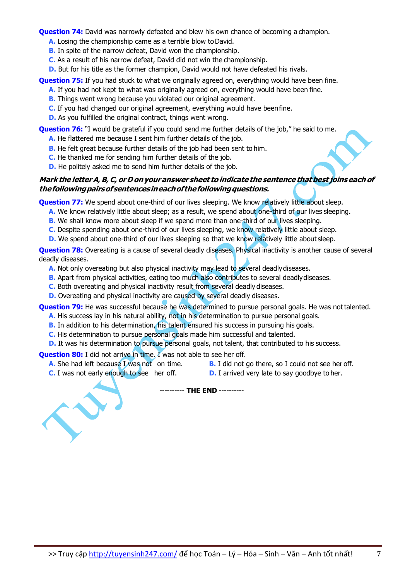**Question 74:** David was narrowly defeated and blew his own chance of becoming a champion.

- A. Losing the championship came as a terrible blow to David.
- **B.** In spite of the narrow defeat, David won the championship.
- **C.** As a result of his narrow defeat, David did not win the championship.
- **D.** But for his title as the former champion, David would not have defeated his rivals.

**Question 75:** If you had stuck to what we originally agreed on, everything would have been fine.

- **A.** If you had not kept to what was originally agreed on, everything would have been fine.
- **B.** Things went wrong because you violated our original agreement.
- **C.** If you had changed our original agreement, everything would have beenfine.
- **D.** As you fulfilled the original contract, things went wrong.

#### **Question 76:** "I would be grateful if you could send me further details of the job," he said to me.

- **A.** He flattered me because I sent him further details of the job.
- **B.** He felt great because further details of the job had been sent to him.
- **C.** He thanked me for sending him further details of the job.
- **D.** He politely asked me to send him further details of the job.

#### **Mark the letterA,B,C, or D onyouranswer sheet to indicate the sentence thatbest joinseach of thefollowingpairsofsentencesineachofthefollowingquestions.**

**Question 77:** We spend about one-third of our lives sleeping. We know relatively little about sleep.

- **A.** We know relatively little about sleep; as a result, we spend about one-third of our lives sleeping.
- **B.** We shall know more about sleep if we spend more than one-third of our lives sleeping.
- **C.** Despite spending about one-third of our lives sleeping, we know relatively little about sleep.
- **D.** We spend about one-third of our lives sleeping so that we know relatively little about sleep.

**Question 78:** Overeating is a cause of several deadly diseases. Physical inactivity is another cause of several deadly diseases.

- **A.** Not only overeating but also physical inactivity may lead to several deadly diseases.
- **B.** Apart from physical activities, eating too much also contributes to several deadly diseases.
- **C.** Both overeating and physical inactivity result from several deadly diseases.
- **D.** Overeating and physical inactivity are caused by several deadly diseases.

**Question 79:** He was successful because he was determined to pursue personal goals. He was not talented.

- **A.** His success lay in his natural ability, not in his determination to pursue personal goals.
- **B.** In addition to his determination, his talent ensured his success in pursuing his goals.
- **C.** His determination to pursue personal goals made him successful and talented.
- **D.** It was his determination to pursue personal goals, not talent, that contributed to his success.

---------- **THE END** ----------

**Question 80:** I did not arrive in time. I was not able to see her off.

- 
- 
- **A.** She had left because I was not on time. **B.** I did not go there, so I could not see her off.
- **C.** I was not early enough to see her off. **D.** I arrived very late to say goodbye to her.
- 

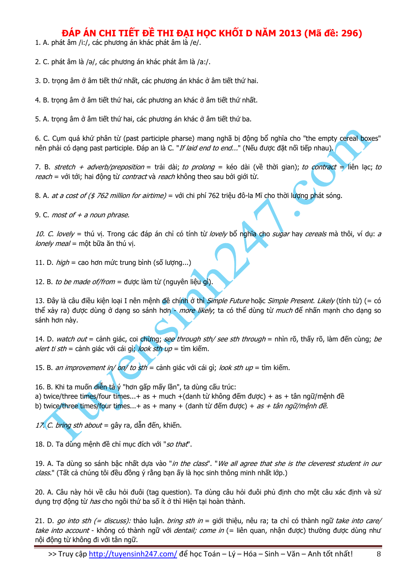## **ĐÁP ÁN CHI TIẾT ĐỀ THI ĐẠI HỌC KHỐI D NĂM 2013 (Mã đề: 296)**

1. A. phát âm /i:/, các phương án khác phát âm là /e/.

2. C. phát âm là /ə/, các phương án khác phát âm là /a:/.

3. D. trọng âm ở âm tiết thứ nhất, các phương án khác ở âm tiết thứ hai.

4. B. trọng âm ở âm tiết thứ hai, các phương an khác ở âm tiết thứ nhất.

5. A. trọng âm ở âm tiết thứ hai, các phương án khác ở âm tiết thứ ba.

6. C. Cụm quá khứ phân từ (past participle pharse) mang nghã bị động bổ nghĩa cho "the empty cereal boxes" nên phải có dạng past participle. Đáp an là C. "If laid end to end..." (Nếu được đặt nối tiếp nhau).

7. B. stretch + adverb/preposition = trải dài; to prolong = kéo dài (về thời gian); to contract = liên lạc; to reach = với tới; hai động từ contract và reach không theo sau bởi giới từ.

8. A. at a cost of (\$ 762 million for airtime) = với chi phí 762 triệu đô-la Mĩ cho thời lượng phát sóng.

9. C. most of  $+$  a noun phrase.

10. C. lovely = thú vị. Trong các đáp án chỉ có tính từ lovely bổ nghĩa cho sugar hay cereals mà thôi, ví dụ: a lonely meal = một bữa ăn thú vị.

11. D.  $high =$  cao hơn mức trung bình (số lượng...)

12. B. to be made of/from = được làm từ (nguyên liệu gì).

13. Đây là câu điều kiện loại I nên mệnh đề chính ở thì Simple Future hoặc Simple Present. Likely (tính từ) (= có thể xảy ra) được dùng ở dạng so sánh hơn - more likely; ta có thể dùng từ much để nhấn mạnh cho dạng so sánh hơn này.

14. D. watch out = cảnh giác, coi chừng; see through sth/ see sth through = nhìn rõ, thấy rõ, làm đến cùng; be alert ti sth = cảnh giác với cái gì; look sth up = tìm kiếm.

15. B. *an improvement in/ on/ to sth* = cảnh giác với cái gì; look sth up = tìm kiếm.

16. B. Khi ta muốn diễn tả ý "hơn gấp mấy lần", ta dùng cấu trúc:

a) twice/three times/four times...+ as + much +(danh từ không đếm được) + as + tân ngữ/mệnh đề

b) twice/three times/four times...+ as + many + (danh từ đếm được) + as + tân ngữ/mệnh đề.

17. C. bring sth about = gây ra, dẫn đến, khiến.

18. D. Ta dùng mênh đề chỉ mục đích với "so that".

19. A. Ta dùng so sánh bậc nhất dựa vào "in the class". "We all agree that she is the cleverest student in our class." (Tất cả chúng tôi đều đồng ý rằng bạn ấy là học sinh thông minh nhất lớp.)

20. A. Câu này hỏi về câu hỏi đuôi (tag question). Ta dùng câu hỏi đuôi phủ định cho một câu xác định và sử dụng trợ động từ has cho ngôi thứ ba số ít ở thì Hiện tại hoàn thành.

21. D. go into sth (= discuss): thảo luân. bring sth in = giới thiêu, nêu ra; ta chỉ có thành ngữ take into care/ take into account - không có thành ngữ với dentail; come in (= liên quan, nhận được) thường được dùng như nội động từ không đi với tân ngữ.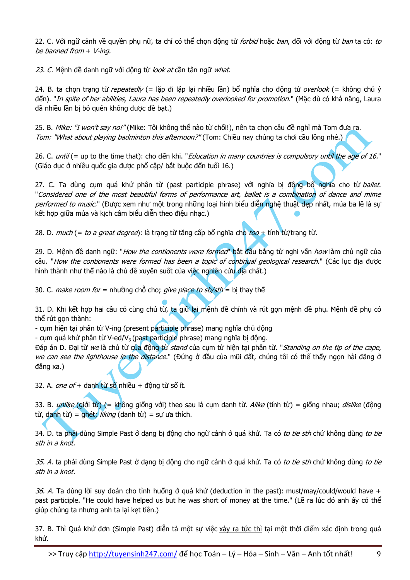22. C. Với ngữ cảnh về quyền phụ nữ, ta chỉ có thể chọn động từ forbid hoặc ban, đối với động từ ban ta có: to be banned from  $+$  V-ing.

23. C. Mệnh đề danh ngữ với động từ look at cần tân ngữ what.

24. B. ta chọn trạng từ repeatedly (= lặp đi lặp lại nhiều lần) bổ nghĩa cho động từ overlook (= không chú ý đến). "*In spite of her abilities, Laura has been repeatedly overlooked for promotion*." (Mặc dù có khả năng, Laura đã nhiều lần bị bỏ quên không được đề bạt.)

25. B. *Mike: "I won't say no!"* (Mike: Tôi không thể nào từ chối!), nên ta chon câu đề nghĩ mà Tom đưa ra. Tom: "What about playing badminton this afternoon?" (Tom: Chiều nay chúng ta chơi cầu lông nhé.)

26. C. until (= up to the time that): cho đến khi. "*Education in many countries is compulsory until the age of 16*." (Giáo dục ở nhiều quốc gia được phổ cập/ bắt buộc đến tuổi 16.)

27. C. Ta dùng cum quá khứ phân từ (past participle phrase) với nghĩa bị động bổ nghĩa cho từ ballet. "Considered one of the most beautiful forms of performance art, ballet is a combination of dance and mime performed to music." (Được xem như một trong những loại hình biểu diễn nghệ thuật đẹp nhất, múa ba lê là sự kết hợp giữa múa và kịch câm biểu diễn theo điệu nhạc.)

28. D. much (= to a great degree): là trạng từ tăng cấp bổ nghĩa cho too + tính từ/trạng từ.

29. D. Mệnh đề danh ngữ: "How the contionents were formed" bắt đầu bằng từ nghi vấn how làm chủ ngữ của câu. "How the contionents were formed has been a topic of continual geological research." (Các luc địa được hình thành như thế nào là chủ đề xuyên suốt của việc nghiên cứu địa chất.)

30. C. *make room for* = nhường chỗ cho; *give place to sb/sth* = bị thay thế

31. D. Khi kết hợp hai câu có cùng chủ từ, ta giữ lại mệnh đề chính và rút gọn mệnh đề phụ. Mệnh đề phụ có thể rút gọn thành:

- cụm hiện tại phân từ V-ing (present participle phrase) mang nghĩa chủ động

- cụm quá khứ phân từ V-ed/V<sub>3</sub> (past participle phrase) mang nghĩa bị động.

Đáp án D. Đại từ we là chủ từ của động từ stand của cụm từ hiện tại phân từ. "Standing on the tip of the cape, we can see the lighthouse in the distance." (Đứng ở đầu của mũi đất, chúng tôi có thể thấy ngọn hải đăng ở đằng xa.)

32. A. one of + danh từ số nhiều + động từ số ít.

33. B. unlike (giới từ) (= không giống với) theo sau là cụm danh từ. Alike (tính từ) = giống nhau; dislike (động từ, danh từ) = ghét; *liking* (danh từ) = sự ưa thích.

34. D. ta phải dùng Simple Past ở dang bị đông cho ngữ cảnh ở quá khứ. Ta có to tie sth chứ không dùng to tie sth in a knot.

35. A. ta phải dùng Simple Past ở dạng bị động cho ngữ cảnh ở quá khứ. Ta có to tie sth chứ không dùng to tie sth in a knot.

36. A. Ta dùng lời suy đoán cho tình huống ở quá khứ (deduction in the past): must/may/could/would have + past participle. "He could have helped us but he was short of money at the time." (Lẽ ra lúc đó anh ấy có thể giúp chúng ta nhưng anh ta lại kẹt tiền.)

37. B. Thì Quá khứ đơn (Simple Past) diễn tả một sự việc xảy ra tức thì tại một thời điểm xác định trong quá khứ.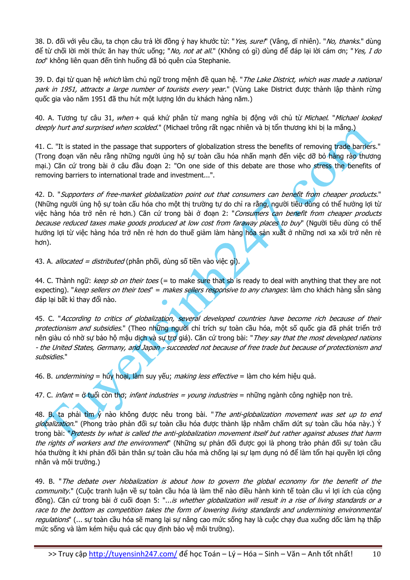38. D. đối với yêu cầu, ta chọn câu trả lời đồng ý hay khước từ: "Yes, sure!" (Vâng, dĩ nhiên). "No, thanks." dùng để từ chối lời mời thức ăn hay thức uống; "No, not at all." (Không có gì) dùng để đáp lại lời cám ơn; "Yes, I do too" không liên quan đến tình huống đã bỏ quên của Stephanie.

39. D. đại từ quan hệ which làm chủ ngữ trong mệnh đề quan hệ. "The Lake District, which was made a national park in 1951, attracts a large number of tourists every year." (Vùng Lake District được thành lập thành rừng quốc gia vào năm 1951 đã thu hút một lượng lớn du khách hàng năm.)

40. A. Tương tư câu 31, when + quá khứ phân từ mang nghĩa bi đông với chủ từ Michael. "Michael looked deeply hurt and surprised when scolded." (Michael trông rất ngạc nhiên và bị tổn thương khi bị la mắng.)

41. C. "It is stated in the passage that supporters of globalization stress the benefits of removing trade barriers." (Trong đoạn văn nêu rằng những người ủng hộ sự toàn cầu hóa nhấn mạnh đến việc dỡ bỏ hàng rào thương mại.) Căn cứ trong bài ở câu đầu đoạn 2: "On one side of this debate are those who stress the benefits of removing barriers to international trade and investment...".

42. D. "Supporters of free-market globalization point out that consumers can benefit from cheaper products." (Những người ủng hộ sự toàn cấu hóa cho một thị trường tự do chỉ ra rằng, người tiêu dùng có thể hưởng lợi từ việc hàng hóa trở nên rẻ hơn.) Căn cứ trong bài ở đoạn 2: "Consumers can benefit from cheaper products because reduced taxes make goods produced at low cost from faraway places to buy" (Người tiêu dùng có thể hưởng lợi từ việc hàng hóa trở nên rẻ hơn do thuế giảm làm hàng hóa sản xuất ở những nơi xa xôi trở nên rẻ hơn).

43. A. *allocated = distributed* (phân phối, dùng số tiền vào việc gì).

44. C. Thành ngữ: keep sb on their toes (= to make sure that sb is ready to deal with anything that they are not expecting). "*keep sellers on their toes*" = makes sellers responsive to any changes: làm cho khách hàng sẵn sàng đáp lại bất kì thay đổi nào.

45. C. "According to critics of globalization, several developed countries have become rich because of their protectionism and subsidies." (Theo những người chỉ trích sự toàn cầu hóa, một số quốc gia đã phát triển trở nên giàu có nhờ sự bảo hộ mậu dịch và sự trợ giá). Căn cứ trong bài: "They say that the most developed nations - the United States, Germany, and Japan - succeeded not because of free trade but because of protectionism and subsidies."

46. B. undermining = hủy hoại, làm suy yếu; making less effective = làm cho kém hiệu quả.

47. C. *infant* = ở tuổi còn thơ; *infant industries = young industries* = những ngành công nghiệp non trẻ.

48. B. ta phải tìm ý nào không được nêu trong bài. "The anti-globalization movement was set up to end *globalization.*" (Phong trào phản đối sự toàn cầu hóa được thành lập nhằm chấm dứt sự toàn cầu hóa này.) Ý trong bài: "Protests by what is called the anti-globalization movement itself but rather against abuses that harm the rights of workers and the environment" (Những sự phản đối được gọi là phong trào phản đối sự toàn cầu hóa thường ít khi phản đối bản thân sự toàn cầu hóa mà chống lại sự lạm dụng nó để làm tổn hại quyền lợi công nhân và môi trưởng.)

49. B. "The debate over hlobalization is about how to govern the global economy for the benefit of the community." (Cuộc tranh luận về sự toàn cầu hóa là làm thế nào điều hành kinh tế toàn cầu vì lợi ích của cộng đồng). Căn cứ trong bài ở cuối đoạn 5: "...is whether globalization will result in a rise of living standards or a race to the bottom as competition takes the form of lowering living standards and undermining environmental regulations" (... sư toàn cầu hóa sẽ mang lai sư nâng cao mức sống hay là cuộc chay đua xuống dốc làm hạ thấp mức sống và làm kém hiệu quả các quy định bảo vệ môi trường).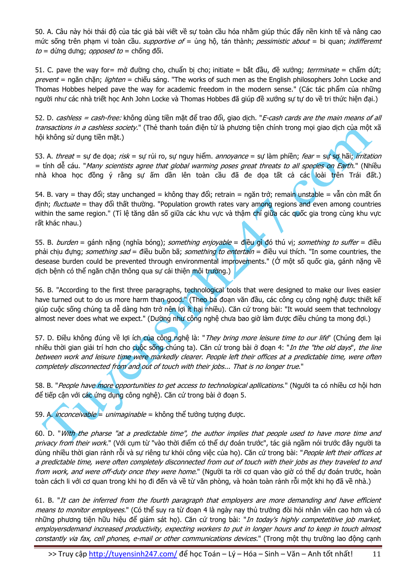50. A. Câu này hỏi thái độ của tác giả bài viết về sự toàn cầu hóa nhằm giúp thúc đẩy nền kinh tế và nâng cao mức sống trên phạm vi toàn cầu. *supportive of* = ủng hộ, tán thành; *pessimistic about* = bi quan; *indifferemt*  $to =$  dửng dưng; *opposed to* = chống đối.

51. C. pave the way for= mở đường cho, chuẩn bị cho; initiate = bắt đầu, đề xướng; *terrminate* = chấm dứt; prevent = ngăn chặn; lighten = chiếu sáng. "The works of such men as the English philosophers John Locke and Thomas Hobbes helped pave the way for academic freedom in the modern sense." (Các tác phẩm của những người như các nhà triết học Anh John Locke và Thomas Hobbes đã giúp đề xướng sự tự do về tri thức hiện đại.)

52. D. cashless = cash-free: không dùng tiền mặt để trao đổi, giao dịch. "E-cash cards are the main means of all transactions in a cashless society." (Thẻ thanh toán điện tử là phương tiện chính trong mọi giao dịch của một xã hội không sử dụng tiền mặt.)

53. A. threat = sự đe doa; risk = sự rủi ro, sự nguy hiểm. annoyance = sự làm phiền; fear = sự sợ hãi; irritation = tính dễ cáu. "*Many scientists agree that global warming poses great threats to all species on Earth.*" (Nhiều nhà khoa học đồng ý rằng sự ấm dần lên toàn cầu đã đe dọa tất cả các loài trên Trái đất.)

54. B. vary = thay đổi; stay unchanged = không thay đổi; retrain = ngăn trở; remain unstable = vẫn còn mất ổn đinh; *fluctuate* = thay đổi thất thường. "Population growth rates vary among regions and even among countries within the same region." (Tỉ lệ tăng dân số giữa các khu vực và thậm chí giữa các quốc gia trong cùng khu vực rất khác nhau.)

55. B. burden = gánh nặng (nghĩa bóng); something enjoyable = điều gì đó thú vị; something to suffer = điều phải chịu đựng; something sad = điều buồn bã; something to entertain = điều vui thích. "In some countries, the desease burden could be prevented through environmental improvements." (Ở một số quốc gia, gánh nặng về dịch bệnh có thể ngăn chặn thông qua sự cải thiện môi trường.)

56. B. "According to the first three paragraphs, technological tools that were designed to make our lives easier have turned out to do us more harm than good." (Theo ba đoạn văn đầu, các công cụ công nghệ được thiết kế giúp cuộc sống chúng ta dễ dàng hơn trở nên lợi ít hại nhiều). Căn cứ trong bài: "It would seem that technology almost never does what we expect." (Dường như công nghệ chưa bao giờ làm được điều chúng ta mong đợi.)

57. D. Điều không đúng về lợi ích của công nghệ là: "They bring more leisure time to our life" (Chúng đem lại nhiều thời gian giải trí hơn cho cuộc sống chúng ta). Căn cứ trong bài ở đoạn 4: "In the "the old days", the line between work and leisure time were markedly clearer. People left their offices at a predictable time, were often completely disconnected from and out of touch with their jobs... That is no longer true."

58. B. "People have more opportunities to get access to technological apllications." (Người ta có nhiều cơ hội hơn để tiếp cận với các ứng dụng công nghệ). Căn cứ trong bài ở đoạn 5.

59. A. *inconceivable = unimaginable = không thể tưởng tượng được.* 

60. D. "With the pharse "at a predictable time", the author implies that people used to have more time and privacy from their work." (Với cụm từ "vào thời điểm có thể dự đoán trước", tác giả ngầm nói trước đây người ta dùng nhiều thời gian rảnh rỗi và sự riêng tư khỏi công việc của họ). Căn cứ trong bài: "People left their offices at a predictable time, were often completely disconnected from out of touch with their jobs as they traveled to and from work, and were off-duty once they were home." (Người ta rời cơ quan vào giờ có thể dự đoán trước, hoàn toàn cách li với cơ quan trong khi họ đi đến và về từ văn phòng, và hoàn toàn rảnh rỗi một khi họ đã về nhà.)

61. B. "It can be inferred from the fourth paragraph that employers are more demanding and have efficient means to monitor employees." (Có thể suy ra từ đoạn 4 là ngày nay thủ trưởng đòi hỏi nhân viên cao hơn và có những phương tiên hữu hiệu để giám sát họ). Căn cứ trong bài: "*In today's highly competetitive job market,* employersdemand increased productivity, expecting workers to put in longer hours and to keep in touch almost constantly via fax, cell phones, e-mail or other communications devices." (Trong một thụ trường lao động cạnh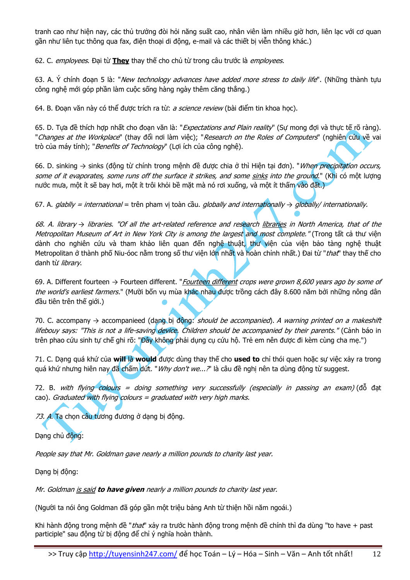tranh cao như hiện nay, các thủ trưởng đòi hỏi năng suất cao, nhân viên làm nhiều giờ hơn, liên lạc với cơ quan gần như liên tục thông qua fax, điện thoại di động, e-mail và các thiết bị viễn thông khác.)

62. C. employees. Đại từ **They** thay thế cho chủ từ trong câu trước là employees.

63. A. Ý chính đoạn 5 là: "New technology advances have added more stress to daily life". (Những thành tựu công nghệ mới góp phần làm cuộc sống hàng ngày thêm căng thẳng.)

64. B. Đoạn văn này có thể được trích ra từ: a science review (bài điểm tin khoa học).

65. D. Tựa đề thích hợp nhất cho đoạn văn là: "Expectations and Plain reality" (Sự mong đợi và thực tế rõ ràng). "Changes at the Workplace" (thay đổi nơi làm việc); "Research on the Roles of Computers" (nghiên cứu về vai trò của máy tính); "Benefits of Technology" (Lợi ích của công nghệ).

66. D. sinking → sinks (động từ chính trong mệnh đề được chia ở thì Hiện tại đơn). "When precipitation occurs, some of it evaporates, some runs off the surface it strikes, and some sinks into the ground." (Khi có một lượng nước mưa, một ít sẽ bay hơi, một ít trôi khỏi bề mặt mà nó rơi xuống, và một ít thấm vào đất.)

67. A. glablly = international = trên pham vị toàn cầu. globally and internationally *→* globally/ internationally.

68. A. library *→* libraries. "Of all the art-related reference and research libraries in North America, that of the Metropolitan Museum of Art in New York City is among the largest and most complete." (Trong tất cả thư viện dành cho nghiên cứu và tham khảo liên quan đến nghệ thuật, thư viện của viện bảo tàng nghệ thuật Metropolitan ở thành phố Niu-óoc nằm trong số thư viên lớn nhất và hoàn chỉnh nhất.) Đai từ "that" thay thế cho danh từ *library*.

69. A. Different fourteen  $\rightarrow$  Fourteen different. "*Fourteen different crops were grown 8,600 years ago by some of* the world's earliest farmers." (Mười bốn vụ mùa khác nhau được trồng cách đây 8.600 năm bởi những nông dân đầu tiên trên thế giới.)

70. C. accompany  $\rightarrow$  accompanieed (dang bi động: *should be accompanied*). A warning printed on a makeshift lifebouy says: "This is not a life-saving device. Children should be accompanied by their parents." (Cảnh báo in trên phao cứu sinh tự chế ghi rõ: "Đây không phải dụng cụ cứu hộ. Trẻ em nên được đi kèm cùng cha mẹ.")

71. C. Dạng quá khứ của **will** là **would** được dùng thay thế cho **used to** chỉ thói quen hoặc sự việc xảy ra trong quá khứ nhưng hiên nay đã chấm dứt. "Why don't we...?" là câu đề nghị nên ta dùng động từ suggest.

72. B. with flying colours = doing something very successfully (especially in passing an exam) (đồ đạt cao). Graduated with flying colours = graduated with very high marks.

73. A. Ta chọn câu tương đương ở dạng bị động.

Dạng chủ động:

People say that Mr. Goldman gave nearly a million pounds to charity last year.

Dang bị động:

Mr. Goldman is said **to have given** nearly a million pounds to charity last year.

(Người ta nói ông Goldman đã góp gần một triệu bảng Anh từ thiện hồi năm ngoái.)

Khi hành động trong mệnh đề "that" xảy ra trước hành động trong mệnh đề chính thì đa dùng "to have + past participle" sau động từ bị động để chỉ ý nghĩa hoàn thành.